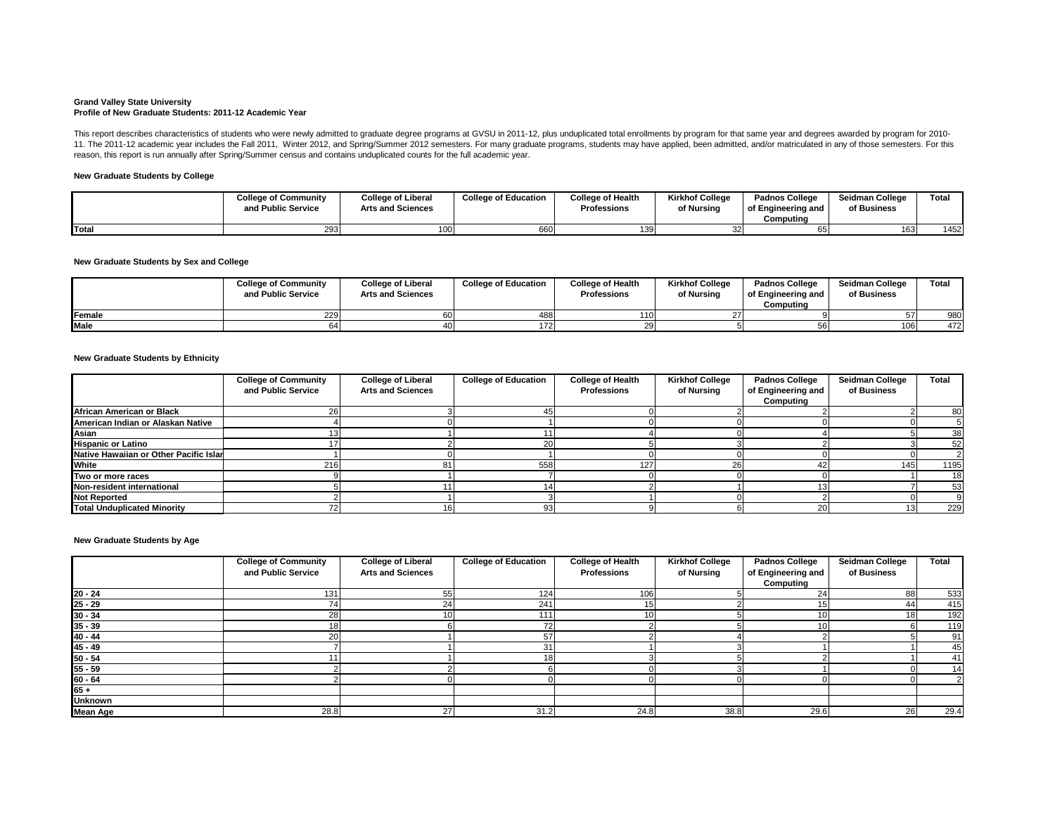#### **Grand Valley State University Profile of New Graduate Students: 2011-12 Academic Year**

## **New Graduate Students by College**

# **New Graduate Students by Sex and College**

## **New Graduate Students by Ethnicity**

|             | <b>College of Community</b><br>and Public Service | <b>College of Liberal</b><br><b>Arts and Sciences</b> | <b>College of Education</b> | <b>College of Health</b><br><b>Professions</b> | <b>Kirkhof College</b><br>of Nursing | <b>Padnos College</b><br>of Engineering and<br>Computing | <b>Seidman College</b><br>of Business | <b>Total</b> |
|-------------|---------------------------------------------------|-------------------------------------------------------|-----------------------------|------------------------------------------------|--------------------------------------|----------------------------------------------------------|---------------------------------------|--------------|
| Female      | <b>2291</b>                                       |                                                       | 488                         | <b>110</b>                                     |                                      |                                                          |                                       | 980          |
| <b>Male</b> |                                                   |                                                       |                             | 29 I                                           |                                      |                                                          | 106                                   | 472          |

This report describes characteristics of students who were newly admitted to graduate degree programs at GVSU in 2011-12, plus unduplicated total enrollments by program for that same year and degrees awarded by program for 11. The 2011-12 academic year includes the Fall 2011, Winter 2012, and Spring/Summer 2012 semesters. For many graduate programs, students may have applied, been admitted, and/or matriculated in any of those semesters. For reason, this report is run annually after Spring/Summer census and contains unduplicated counts for the full academic year.

|              | <b>College of Community</b><br>and Public Service | <b>College of Liberal</b><br><b>Arts and Sciences</b> | <b>College of Education</b> | <b>College of Health</b><br><b>Professions</b> | <b>Kirkhof College</b><br>of Nursing | <b>Padnos College</b><br>of Engineering and<br>Computing | <b>Seidman College</b><br>of Business | Total |
|--------------|---------------------------------------------------|-------------------------------------------------------|-----------------------------|------------------------------------------------|--------------------------------------|----------------------------------------------------------|---------------------------------------|-------|
| <b>Total</b> | 293 <sub>I</sub>                                  | 100                                                   |                             | 139                                            |                                      |                                                          | 163                                   | 1452  |

**New Graduate Students by Age**

|                                        | <b>College of Community</b><br>and Public Service | <b>College of Liberal</b><br><b>Arts and Sciences</b> | <b>College of Education</b> | <b>College of Health</b><br><b>Professions</b> | <b>Kirkhof College</b><br>of Nursing | <b>Padnos College</b><br>of Engineering and<br><b>Computing</b> | <b>Seidman College</b><br>of Business | <b>Total</b> |
|----------------------------------------|---------------------------------------------------|-------------------------------------------------------|-----------------------------|------------------------------------------------|--------------------------------------|-----------------------------------------------------------------|---------------------------------------|--------------|
| African American or Black              |                                                   |                                                       |                             |                                                |                                      |                                                                 |                                       | 80           |
| American Indian or Alaskan Native      |                                                   |                                                       |                             |                                                |                                      |                                                                 |                                       |              |
| Asian                                  |                                                   |                                                       |                             |                                                |                                      |                                                                 |                                       | 38           |
| <b>Hispanic or Latino</b>              |                                                   |                                                       |                             |                                                |                                      |                                                                 |                                       | 52           |
| Native Hawaiian or Other Pacific Islar |                                                   |                                                       |                             |                                                |                                      |                                                                 |                                       |              |
| <b>White</b>                           | 216                                               |                                                       | 558                         | 127                                            | 26                                   |                                                                 | 145                                   | 1195         |
| Two or more races                      |                                                   |                                                       |                             |                                                |                                      |                                                                 |                                       | 18           |
| Non-resident international             |                                                   |                                                       |                             |                                                |                                      |                                                                 |                                       | 53           |
| <b>Not Reported</b>                    |                                                   |                                                       |                             |                                                |                                      |                                                                 |                                       |              |
| <b>Total Unduplicated Minority</b>     |                                                   |                                                       |                             |                                                |                                      |                                                                 |                                       | 229          |

|                 | <b>College of Community</b> | <b>College of Liberal</b> | <b>College of Education</b> | <b>College of Health</b> | <b>Kirkhof College</b> | <b>Padnos College</b> | <b>Seidman College</b> | <b>Total</b> |
|-----------------|-----------------------------|---------------------------|-----------------------------|--------------------------|------------------------|-----------------------|------------------------|--------------|
|                 | and Public Service          | <b>Arts and Sciences</b>  |                             | <b>Professions</b>       | of Nursing             | of Engineering and    | of Business            |              |
|                 |                             |                           |                             |                          |                        | Computing             |                        |              |
| $20 - 24$       | 131                         | 55'                       | 124                         | 106 <sub>1</sub>         |                        |                       | 88                     | 533          |
| $25 - 29$       |                             | 241                       | 241                         | 15                       |                        |                       | 44                     | 415          |
| $30 - 34$       | 28                          | 10I                       | 111                         | 10 <sub>1</sub>          |                        |                       | 18 <sup>l</sup>        | 192          |
| $35 - 39$       |                             |                           | 72                          |                          |                        |                       |                        | 119          |
| $40 - 44$       |                             |                           | 57                          |                          |                        |                       |                        | 91           |
| $45 - 49$       |                             |                           | 31                          |                          |                        |                       |                        | 45           |
| $50 - 54$       |                             |                           |                             |                          |                        |                       |                        | 41           |
| $55 - 59$       |                             |                           |                             |                          |                        |                       |                        | 14           |
| $60 - 64$       |                             |                           |                             |                          |                        |                       |                        |              |
| $165 +$         |                             |                           |                             |                          |                        |                       |                        |              |
| <b>Unknown</b>  |                             |                           |                             |                          |                        |                       |                        |              |
| <b>Mean Age</b> | 28.8                        | 27                        | 31.2                        | 24.8                     | 38.8                   | 29.6                  | 26                     | 29.4         |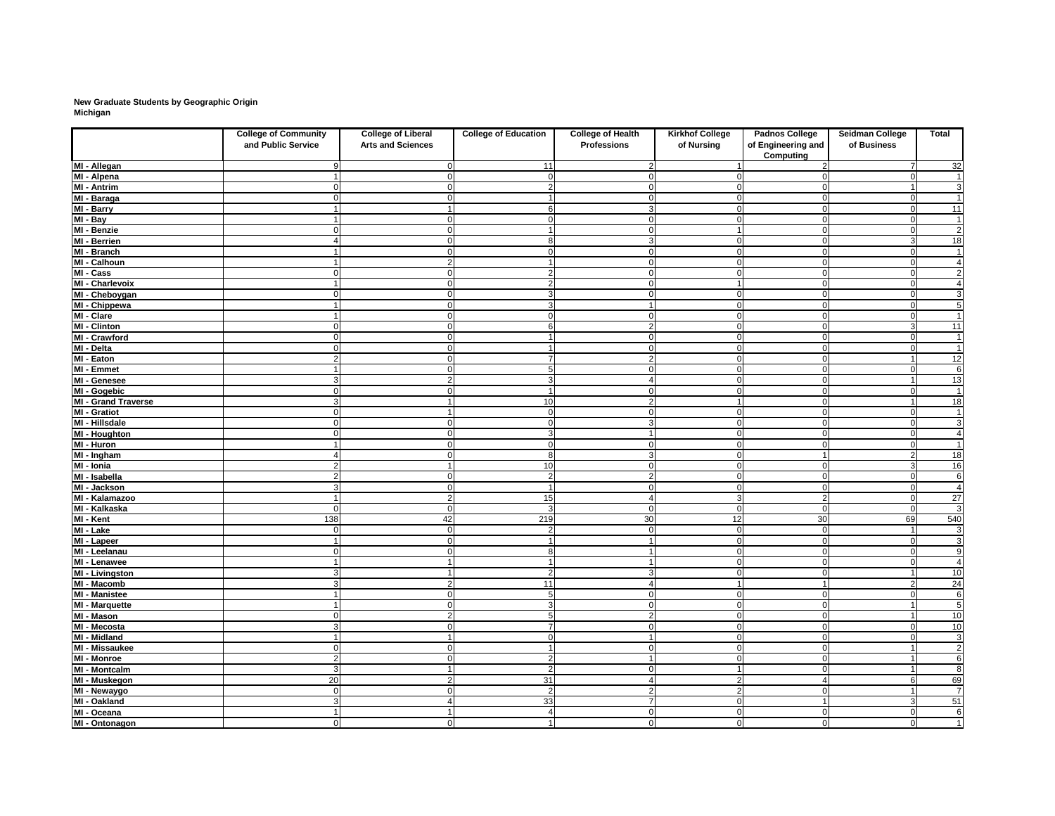### **New Graduate Students by Geographic Origin Michigan**

|                                       | <b>College of Community</b><br>and Public Service | <b>College of Liberal</b><br><b>Arts and Sciences</b> | <b>College of Education</b>  | <b>College of Health</b><br><b>Professions</b> | <b>Kirkhof College</b><br>of Nursing | <b>Padnos College</b><br>of Engineering and | Seidman College<br>of Business | <b>Total</b>                      |
|---------------------------------------|---------------------------------------------------|-------------------------------------------------------|------------------------------|------------------------------------------------|--------------------------------------|---------------------------------------------|--------------------------------|-----------------------------------|
|                                       |                                                   |                                                       |                              |                                                |                                      | <b>Computing</b>                            |                                |                                   |
| MI - Allegan                          |                                                   |                                                       | 11                           |                                                |                                      |                                             |                                | $\overline{32}$                   |
| MI - Alpena                           |                                                   |                                                       | $\Omega$                     |                                                |                                      |                                             |                                | $\overline{1}$                    |
| <b>MI - Antrim</b>                    |                                                   |                                                       | 2                            |                                                |                                      |                                             |                                | $\overline{3}$                    |
| MI - Baraga                           |                                                   |                                                       |                              |                                                | 0                                    |                                             | $\Omega$                       | $\overline{1}$                    |
| MI - Barry                            |                                                   |                                                       | 6                            |                                                | $\overline{0}$                       |                                             | $\Omega$                       | $\overline{11}$                   |
| $\overline{M}$ l - Bay                |                                                   |                                                       | $\Omega$                     |                                                | $\overline{0}$                       |                                             | $\cap$                         | $\mathbf 1$                       |
| MI - Benzie                           |                                                   |                                                       |                              |                                                |                                      |                                             |                                | $\overline{2}$                    |
| <b>MI - Berrien</b>                   |                                                   |                                                       | 8                            |                                                | $\mathbf 0$                          |                                             |                                | 18                                |
| MI - Branch                           |                                                   |                                                       | $\Omega$                     |                                                | $\overline{0}$                       |                                             | - 0                            | $\mathbf 1$                       |
| MI - Calhoun                          |                                                   |                                                       |                              |                                                | $\Omega$                             |                                             |                                | $\overline{4}$                    |
| MI - Cass                             |                                                   |                                                       | 2                            |                                                | 0                                    |                                             | $\cap$                         | $\overline{2}$                    |
| MI - Charlevoix                       |                                                   |                                                       | $\overline{2}$               |                                                |                                      |                                             | $\Omega$                       | $\overline{4}$                    |
| MI - Cheboygan                        |                                                   |                                                       | 3                            |                                                | $\Omega$                             |                                             | $\Omega$                       | $\overline{3}$                    |
| MI - Chippewa                         |                                                   |                                                       | З                            |                                                | $\Omega$                             |                                             | $\cap$                         | $\overline{5}$                    |
| MI - Clare                            |                                                   |                                                       | $\Omega$                     |                                                | 0                                    |                                             |                                | $\mathbf 1$                       |
| <b>MI - Clinton</b>                   |                                                   |                                                       | 6                            |                                                | $\Omega$                             |                                             |                                | 11                                |
| MI - Crawford                         |                                                   |                                                       |                              |                                                | $\mathbf 0$                          |                                             |                                | $\mathbf{1}$                      |
| MI - Delta                            |                                                   |                                                       | 7                            |                                                | $\mathbf 0$                          |                                             |                                | $\mathbf 1$                       |
| <b>MI - Eaton</b>                     | $\overline{2}$                                    |                                                       |                              |                                                | $\overline{0}$                       |                                             |                                | $\overline{12}$<br>$\overline{6}$ |
| <b>MI - Emmet</b>                     |                                                   |                                                       | 5                            | $\Delta$                                       | $\overline{0}$                       | $\Omega$                                    | $\cap$                         |                                   |
| MI - Genesee                          | $\mathbf{3}$                                      |                                                       | 3<br>$\overline{\mathbf{A}}$ | C                                              | $\overline{0}$                       | 0                                           |                                | 13                                |
| MI - Gogebic                          | $\Omega$                                          |                                                       |                              |                                                | $\overline{0}$                       | $\Omega$                                    | $\cap$                         | $\mathbf 1$                       |
| <b>MI - Grand Traverse</b>            | $\mathbf{3}$                                      |                                                       | 10                           | 2<br>-C                                        |                                      | $\Omega$                                    |                                | 18                                |
| <b>MI - Gratiot</b><br>MI - Hillsdale | $\Omega$<br>$\Omega$                              |                                                       | $\overline{0}$               | З                                              | $\overline{0}$                       | $\Omega$                                    | $\Omega$<br>$\Omega$           | $\mathbf{1}$<br>$\overline{3}$    |
|                                       | $\Omega$                                          |                                                       | $\overline{0}$               |                                                | $\overline{0}$<br>$\overline{0}$     | $\Omega$                                    | $\Omega$                       | $\overline{4}$                    |
| MI - Houghton                         |                                                   |                                                       | 3                            | C                                              | $\overline{0}$                       | 0                                           |                                | $\mathbf{1}$                      |
| MI - Huron                            |                                                   |                                                       | $\overline{0}$<br>8          | 3                                              | $\overline{0}$                       |                                             | $\Omega$<br>$\overline{2}$     | 18                                |
| MI - Ingham<br>MI - Ionia             | $\overline{2}$                                    |                                                       | 10                           | C                                              | $\overline{0}$                       | $\Omega$                                    | 3                              | 16                                |
| MI - Isabella                         | $\overline{2}$                                    |                                                       | $\overline{2}$               | 2                                              | $\overline{0}$                       | ∩                                           | $\Omega$                       | 6                                 |
| MI - Jackson                          | 3                                                 |                                                       |                              |                                                | $\mathbf 0$                          |                                             |                                | $\overline{4}$                    |
| MI - Kalamazoo                        |                                                   |                                                       | 15                           |                                                | 3                                    |                                             |                                | 27                                |
| MI - Kalkaska                         | $\overline{0}$                                    | $\overline{0}$                                        | $\mathbf{3}$                 | $\Omega$                                       | 0                                    | $\overline{0}$                              | $\overline{0}$                 | 3                                 |
| MI - Kent                             | 138                                               | 42                                                    | 219                          | 30                                             | 12                                   | 30                                          | 69                             |                                   |
| MI - Lake                             | $\overline{0}$                                    | $\Omega$                                              | $\mathbf{2}$                 | $\overline{0}$                                 | 0                                    | $\overline{0}$                              |                                | $\frac{540}{3}$                   |
| MI - Lapeer                           | $\blacktriangleleft$                              | $\Omega$                                              | $\overline{\mathbf{1}}$      |                                                | $\overline{0}$                       | $\Omega$                                    | $\Omega$                       | $\overline{3}$                    |
| MI - Leelanau                         | $\Omega$                                          | 0                                                     | 8 <sup>1</sup>               |                                                | $\overline{0}$                       | 0                                           | $\Omega$                       | $\overline{9}$                    |
| MI - Lenawee                          | $\blacktriangleleft$                              |                                                       | $\overline{\mathbf{1}}$      |                                                | $\overline{0}$                       | $\Omega$                                    | - 0                            | $\overline{4}$                    |
| <b>MI - Livingston</b>                | 3                                                 |                                                       | $\overline{2}$               |                                                | $\mathbf 0$                          |                                             |                                | 10                                |
| MI - Macomb                           | $\mathbf{3}$                                      |                                                       | 11                           |                                                |                                      |                                             |                                | 24                                |
| <b>MI</b> - Manistee                  |                                                   |                                                       | $\overline{5}$               |                                                | $\overline{0}$                       | 0                                           |                                | $\overline{6}$                    |
| MI - Marquette                        |                                                   |                                                       | $\mathbf{3}$                 |                                                | $\overline{0}$                       | 0                                           |                                | 5                                 |
| MI - Mason                            | $\Omega$                                          |                                                       | 5 <sub>5</sub>               | 2                                              | $\overline{0}$                       | $\Omega$                                    |                                | 10                                |
| MI - Mecosta                          | 3                                                 |                                                       | $\overline{7}$               | $\Omega$                                       | $\overline{0}$                       | $\Omega$                                    | $\Omega$                       | 10                                |
| <b>MI - Midland</b>                   | $\blacktriangleleft$                              |                                                       | 0                            |                                                | $\overline{0}$                       | $\Omega$                                    | - 0                            | 3                                 |
| <b>MI - Missaukee</b>                 | $\overline{0}$                                    |                                                       | $\overline{\mathbf{1}}$      | C                                              | $\overline{0}$                       | $\Omega$                                    |                                | $\overline{2}$                    |
| MI - Monroe                           | $\overline{2}$                                    |                                                       | $\mathbf{2}$                 |                                                | $\overline{0}$                       | $\Omega$                                    |                                | 6                                 |
| MI - Montcalm                         | 3                                                 |                                                       | $\overline{2}$               | C                                              | 1                                    | ∩                                           |                                | 8                                 |
| MI - Muskegon                         | 20                                                |                                                       | 31                           | Δ                                              | $\overline{2}$                       |                                             | -6                             | 69                                |
| MI - Newaygo                          | $\overline{0}$                                    |                                                       | $\overline{2}$               | $\overline{2}$                                 | 2                                    | 0                                           |                                | $\overline{7}$                    |
| <b>MI - Oakland</b>                   | 3                                                 |                                                       | 33                           | $\overline{7}$                                 | $\overline{0}$                       |                                             | 3                              | 51                                |
| MI - Oceana                           | $\overline{1}$                                    |                                                       | $\overline{4}$               | $\Omega$                                       | $\overline{0}$                       | $\Omega$                                    | $\Omega$                       | $\overline{6}$                    |
| MI - Ontonagon                        | $\overline{0}$                                    | $\overline{0}$                                        | $\overline{\mathbf{1}}$      | $\overline{0}$                                 | 0                                    | $\overline{O}$                              | $\mathbf 0$                    |                                   |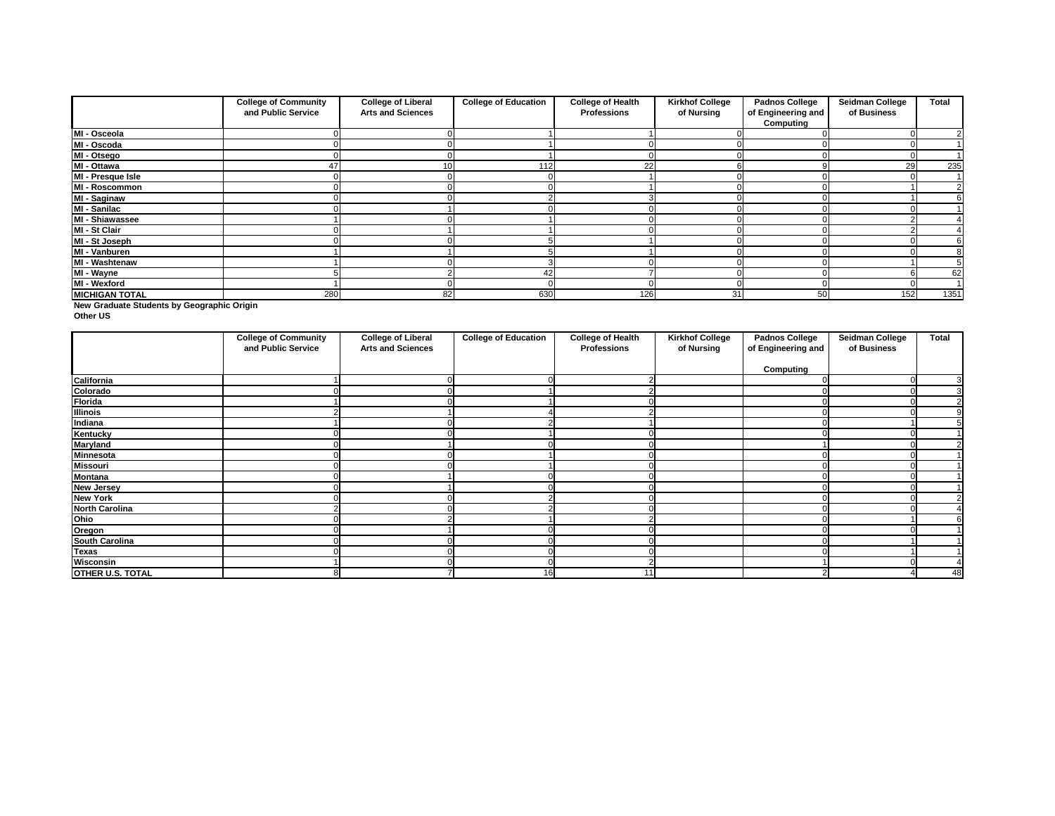|                       | <b>College of Community</b><br>and Public Service | <b>College of Liberal</b><br><b>Arts and Sciences</b> | <b>College of Education</b> | <b>College of Health</b><br><b>Professions</b> | <b>Kirkhof College</b><br>of Nursing | <b>Padnos College</b><br>of Engineering and | <b>Seidman College</b><br>of Business | <b>Total</b> |
|-----------------------|---------------------------------------------------|-------------------------------------------------------|-----------------------------|------------------------------------------------|--------------------------------------|---------------------------------------------|---------------------------------------|--------------|
|                       |                                                   |                                                       |                             |                                                |                                      | <b>Computing</b>                            |                                       |              |
| MI - Osceola          |                                                   |                                                       |                             |                                                |                                      |                                             |                                       |              |
| MI - Oscoda           |                                                   |                                                       |                             |                                                |                                      |                                             |                                       |              |
| MI - Otsego           |                                                   |                                                       |                             |                                                |                                      |                                             |                                       |              |
| MI - Ottawa           | 47                                                | 10 <sup>1</sup>                                       | 112 <sub>1</sub>            | 22                                             |                                      |                                             | 29                                    | 235          |
| MI - Presque Isle     |                                                   |                                                       |                             |                                                |                                      |                                             |                                       |              |
| MI - Roscommon        |                                                   |                                                       |                             |                                                |                                      |                                             |                                       |              |
| <b>MI - Saginaw</b>   |                                                   |                                                       |                             |                                                |                                      |                                             |                                       |              |
| MI - Sanilac          |                                                   |                                                       |                             |                                                |                                      |                                             |                                       |              |
| MI - Shiawassee       |                                                   |                                                       |                             |                                                |                                      |                                             |                                       |              |
| MI - St Clair         |                                                   |                                                       |                             |                                                |                                      |                                             |                                       |              |
| MI - St Joseph        |                                                   |                                                       |                             |                                                |                                      |                                             |                                       |              |
| MI - Vanburen         |                                                   |                                                       |                             |                                                |                                      |                                             |                                       |              |
| MI - Washtenaw        |                                                   |                                                       |                             |                                                |                                      |                                             |                                       |              |
| MI - Wayne            |                                                   |                                                       | 42                          |                                                |                                      |                                             |                                       | 62           |
| MI - Wexford          |                                                   |                                                       |                             |                                                |                                      |                                             |                                       |              |
| <b>MICHIGAN TOTAL</b> | 280                                               | 82                                                    | 630                         | 126                                            | 31                                   | 50                                          | 152                                   | 1351         |

**New Graduate Students by Geographic Origin**

**Other US**

|                         | <b>College of Community</b><br>and Public Service | <b>College of Liberal</b><br><b>Arts and Sciences</b> | <b>College of Education</b> | <b>College of Health</b><br><b>Professions</b> | <b>Kirkhof College</b><br>of Nursing | <b>Padnos College</b><br>of Engineering and | <b>Seidman College</b><br>of Business | <b>Total</b> |
|-------------------------|---------------------------------------------------|-------------------------------------------------------|-----------------------------|------------------------------------------------|--------------------------------------|---------------------------------------------|---------------------------------------|--------------|
|                         |                                                   |                                                       |                             |                                                |                                      | <b>Computing</b>                            |                                       |              |
| California              |                                                   |                                                       |                             |                                                |                                      |                                             |                                       | 3            |
| Colorado                |                                                   |                                                       |                             |                                                |                                      |                                             |                                       |              |
| <b>Florida</b>          |                                                   |                                                       |                             |                                                |                                      |                                             |                                       |              |
| <b>Illinois</b>         |                                                   |                                                       |                             |                                                |                                      |                                             |                                       |              |
| Indiana                 |                                                   |                                                       |                             |                                                |                                      |                                             |                                       |              |
| <b>Kentucky</b>         |                                                   |                                                       |                             |                                                |                                      |                                             |                                       |              |
| <b>Maryland</b>         |                                                   |                                                       |                             |                                                |                                      |                                             |                                       |              |
| Minnesota               |                                                   |                                                       |                             |                                                |                                      |                                             |                                       |              |
| <b>Missouri</b>         |                                                   |                                                       |                             |                                                |                                      |                                             |                                       |              |
| <b>Montana</b>          |                                                   |                                                       |                             |                                                |                                      |                                             |                                       |              |
| <b>New Jersey</b>       |                                                   |                                                       |                             |                                                |                                      |                                             |                                       |              |
| <b>New York</b>         |                                                   |                                                       |                             |                                                |                                      |                                             |                                       |              |
| <b>North Carolina</b>   |                                                   |                                                       |                             |                                                |                                      |                                             |                                       |              |
| Ohio                    |                                                   |                                                       |                             |                                                |                                      |                                             |                                       |              |
| Oregon                  |                                                   |                                                       |                             |                                                |                                      |                                             |                                       |              |
| <b>South Carolina</b>   |                                                   |                                                       |                             |                                                |                                      |                                             |                                       |              |
| <b>Texas</b>            |                                                   |                                                       |                             |                                                |                                      |                                             |                                       |              |
| Wisconsin               |                                                   |                                                       |                             |                                                |                                      |                                             |                                       | 4            |
| <b>OTHER U.S. TOTAL</b> | 8                                                 |                                                       | 16                          | 11                                             |                                      |                                             |                                       | 48           |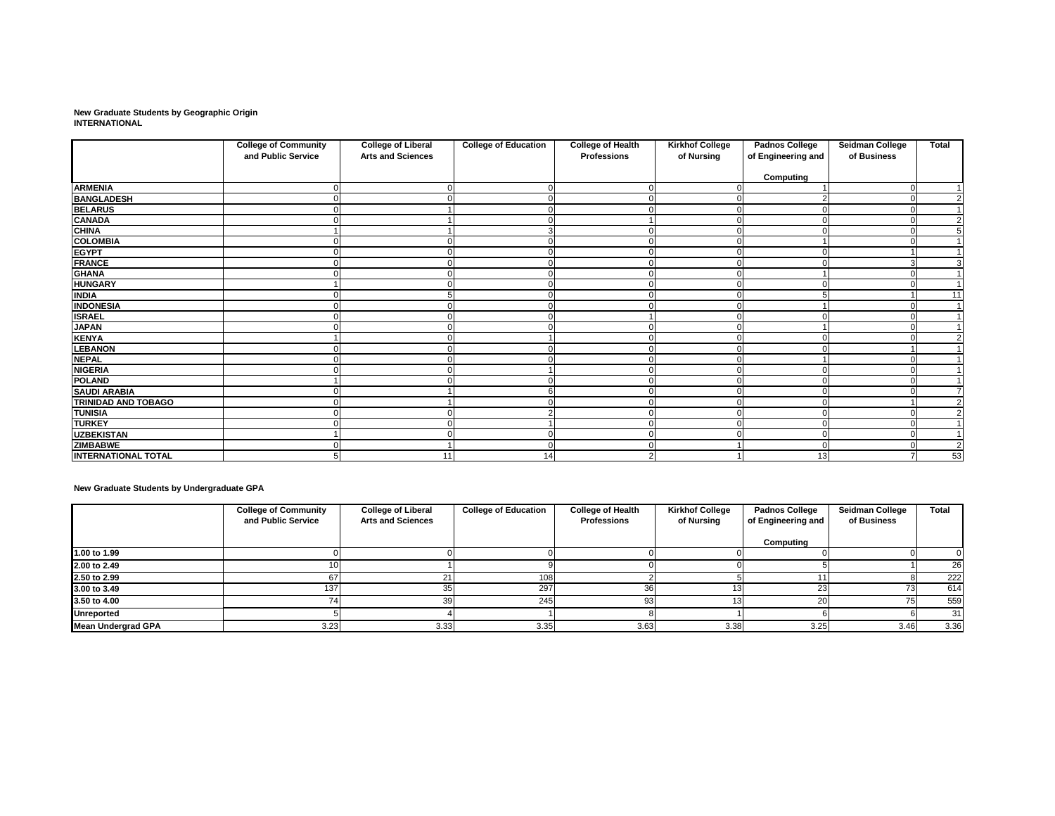**New Graduate Students by Geographic Origin INTERNATIONAL**

|                            | <b>College of Community</b><br>and Public Service | <b>College of Liberal</b><br><b>Arts and Sciences</b> | <b>College of Education</b> | <b>College of Health</b><br><b>Professions</b> | <b>Kirkhof College</b><br>of Nursing | <b>Padnos College</b><br>of Engineering and | Seidman College<br>of Business | <b>Total</b>   |
|----------------------------|---------------------------------------------------|-------------------------------------------------------|-----------------------------|------------------------------------------------|--------------------------------------|---------------------------------------------|--------------------------------|----------------|
|                            |                                                   |                                                       |                             |                                                |                                      |                                             |                                |                |
| <b>ARMENIA</b>             |                                                   |                                                       | $\Omega$                    |                                                |                                      | <b>Computing</b>                            |                                |                |
| <b>BANGLADESH</b>          |                                                   |                                                       | 0                           |                                                | $\Omega$                             |                                             |                                | $\overline{2}$ |
| <b>BELARUS</b>             |                                                   |                                                       | $\Omega$                    |                                                | $\Omega$                             |                                             |                                |                |
| <b>CANADA</b>              |                                                   |                                                       | 0                           |                                                | $\Omega$                             |                                             |                                | $\overline{2}$ |
| <b>CHINA</b>               |                                                   |                                                       | 3                           |                                                | 0                                    |                                             |                                | 5              |
| <b>COLOMBIA</b>            |                                                   |                                                       | 0                           |                                                | 0                                    |                                             |                                |                |
| <b>EGYPT</b>               |                                                   |                                                       |                             |                                                | $\Omega$                             |                                             |                                |                |
| FRANCE                     |                                                   |                                                       | $\Omega$                    |                                                | $\overline{0}$                       |                                             |                                | 3              |
| <b>GHANA</b>               |                                                   |                                                       |                             |                                                | ∩                                    |                                             |                                |                |
| <b>HUNGARY</b>             |                                                   |                                                       |                             |                                                | $\Omega$                             |                                             |                                |                |
| <b>INDIA</b>               |                                                   |                                                       | 0                           |                                                | 0                                    |                                             |                                | 11             |
| <b>INDONESIA</b>           |                                                   |                                                       | $\Omega$                    |                                                | 0                                    |                                             |                                |                |
| <b>ISRAEL</b>              |                                                   |                                                       | $\Omega$                    |                                                | $\Omega$                             |                                             |                                |                |
| <b>JAPAN</b>               |                                                   |                                                       |                             |                                                | 0                                    |                                             |                                |                |
| <b>KENYA</b>               |                                                   |                                                       |                             |                                                | $\Omega$                             |                                             |                                | $\overline{2}$ |
| <b>LEBANON</b>             |                                                   |                                                       | 0                           |                                                | 0                                    |                                             |                                |                |
| <b>NEPAL</b>               |                                                   |                                                       |                             |                                                | 0                                    |                                             |                                |                |
| <b>NIGERIA</b>             |                                                   |                                                       |                             |                                                | 0                                    |                                             |                                |                |
| <b>POLAND</b>              |                                                   |                                                       | $\Omega$                    |                                                | $\Omega$                             |                                             |                                |                |
| <b>SAUDI ARABIA</b>        |                                                   |                                                       | 6                           |                                                | 0                                    |                                             |                                | $\overline{7}$ |
| <b>TRINIDAD AND TOBAGO</b> |                                                   |                                                       | $\Omega$                    |                                                | $\Omega$                             |                                             |                                | $\overline{2}$ |
| <b>TUNISIA</b>             |                                                   |                                                       | $\overline{2}$              |                                                | $\Omega$                             |                                             |                                | $\overline{2}$ |
| <b>TURKEY</b>              |                                                   |                                                       |                             |                                                |                                      |                                             |                                |                |
| <b>UZBEKISTAN</b>          |                                                   |                                                       | $\Omega$                    |                                                | $\Omega$                             |                                             |                                | -1             |
| <b>ZIMBABWE</b>            |                                                   |                                                       | $\Omega$                    |                                                |                                      |                                             |                                | $\overline{2}$ |
| <b>INTERNATIONAL TOTAL</b> | 5                                                 | 11                                                    | 14                          |                                                |                                      | 13                                          |                                | 53             |

**New Graduate Students by Undergraduate GPA**

|                           | <b>College of Community</b> | <b>College of Liberal</b> | <b>College of Education</b> | <b>College of Health</b> | <b>Kirkhof College</b> | <b>Padnos College</b> | <b>Seidman College</b> | <b>Total</b> |
|---------------------------|-----------------------------|---------------------------|-----------------------------|--------------------------|------------------------|-----------------------|------------------------|--------------|
|                           | and Public Service          | <b>Arts and Sciences</b>  |                             | <b>Professions</b>       | of Nursing             | of Engineering and    | of Business            |              |
|                           |                             |                           |                             |                          |                        | Computing             |                        |              |
| 1.00 to 1.99              |                             |                           |                             |                          |                        |                       |                        |              |
| 2.00 to 2.49              |                             |                           |                             |                          |                        |                       |                        | 26           |
| 2.50 to 2.99              |                             |                           | 108                         |                          |                        |                       |                        | 222          |
| 3.00 to 3.49              | 137                         |                           | 297                         |                          | 131                    |                       | 73I                    | 614          |
| 3.50 to 4.00              |                             | 3dl                       | 245                         | ۵۹                       |                        |                       |                        | 559          |
| <b>Unreported</b>         |                             |                           |                             |                          |                        |                       |                        | 31           |
| <b>Mean Undergrad GPA</b> | 3.23                        | 3.33                      | 3.35                        | 3.63                     | 3.38                   | 3.25                  | 3.46                   | 3.36         |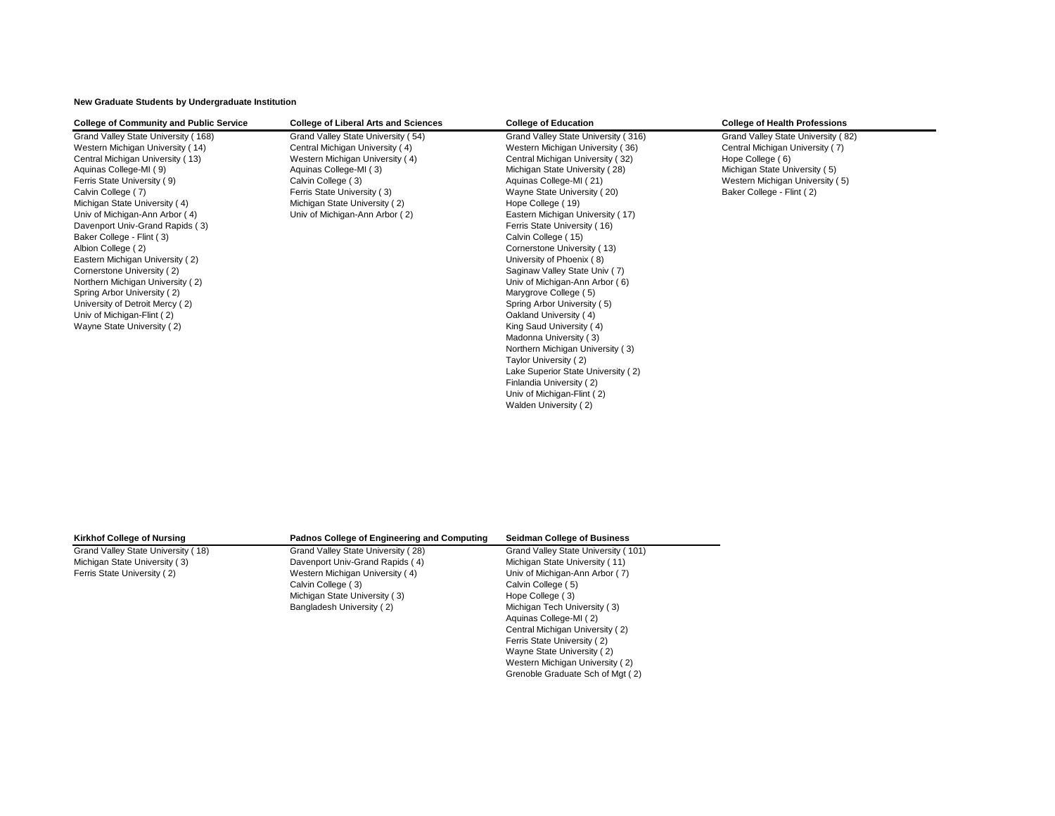**New Graduate Students by Undergraduate Institution**

| <b>College of Community and Public Service</b> | <b>College of Liberal Arts and Sciences</b> | <b>College of Education</b>         | <b>College of Health Professions</b> |
|------------------------------------------------|---------------------------------------------|-------------------------------------|--------------------------------------|
| Grand Valley State University (168)            | Grand Valley State University (54)          | Grand Valley State University (316) | Grand Valley State University (82)   |
| Western Michigan University (14)               | Central Michigan University (4)             | Western Michigan University (36)    | Central Michigan University (7)      |
| Central Michigan University (13)               | Western Michigan University (4)             | Central Michigan University (32)    | Hope College (6)                     |
| Aquinas College-MI (9)                         | Aquinas College-MI (3)                      | Michigan State University (28)      | Michigan State University (5)        |
| Ferris State University (9)                    | Calvin College (3)                          | Aquinas College-MI (21)             | Western Michigan University (5)      |
| Calvin College (7)                             | Ferris State University (3)                 | Wayne State University (20)         | Baker College - Flint (2)            |
| Michigan State University (4)                  | Michigan State University (2)               | Hope College (19)                   |                                      |
| Univ of Michigan-Ann Arbor (4)                 | Univ of Michigan-Ann Arbor (2)              | Eastern Michigan University (17)    |                                      |
| Davenport Univ-Grand Rapids (3)                |                                             | Ferris State University (16)        |                                      |
| Baker College - Flint (3)                      |                                             | Calvin College (15)                 |                                      |
| Albion College (2)                             |                                             | Cornerstone University (13)         |                                      |
| Eastern Michigan University (2)                |                                             | University of Phoenix (8)           |                                      |
| Cornerstone University (2)                     |                                             | Saginaw Valley State Univ (7)       |                                      |
| Northern Michigan University (2)               |                                             | Univ of Michigan-Ann Arbor (6)      |                                      |
| Spring Arbor University (2)                    |                                             | Marygrove College (5)               |                                      |
| University of Detroit Mercy (2)                |                                             | Spring Arbor University (5)         |                                      |
| Univ of Michigan-Flint (2)                     |                                             | Oakland University (4)              |                                      |
| Wayne State University (2)                     |                                             | King Saud University (4)            |                                      |
|                                                |                                             | Madonna University (3)              |                                      |
|                                                |                                             | Northern Michigan University (3)    |                                      |
|                                                |                                             | Taylor University (2)               |                                      |
|                                                |                                             | Lake Superior State University (2)  |                                      |
|                                                |                                             | Finlandia University (2)            |                                      |
|                                                |                                             | Univ of Michigan-Flint (2)          |                                      |
|                                                |                                             | Walden University (2)               |                                      |
|                                                |                                             |                                     |                                      |

| <b>Kirkhof College of Nursing</b>  | <b>Padnos College of Engineering and Computing</b> | <b>Seidman College of Business</b>  |
|------------------------------------|----------------------------------------------------|-------------------------------------|
| Grand Valley State University (18) | Grand Valley State University (28)                 | Grand Valley State University (101) |
| Michigan State University (3)      | Davenport Univ-Grand Rapids (4)                    | Michigan State University (11)      |
| Ferris State University (2)        | Western Michigan University (4)                    | Univ of Michigan-Ann Arbor (7)      |
|                                    | Calvin College (3)                                 | Calvin College (5)                  |
|                                    | Michigan State University (3)                      | Hope College (3)                    |
|                                    | Bangladesh University (2)                          | Michigan Tech University (3)        |
|                                    |                                                    | Aquinas College-MI (2)              |
|                                    |                                                    | Central Michigan University (2)     |
|                                    |                                                    | Ferris State University (2)         |
|                                    |                                                    | Wayne State University (2)          |
|                                    |                                                    | Western Michigan University (2)     |
|                                    |                                                    | Grenoble Graduate Sch of Mgt (2)    |